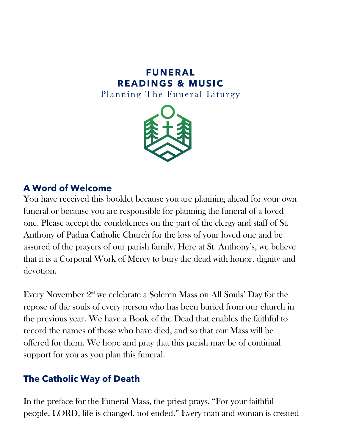# **FUNERAL READINGS & MUSIC**

Planning The Funeral Liturgy



## **A Word of Welcome**

You have received this booklet because you are planning ahead for your own funeral or because you are responsible for planning the funeral of a loved one. Please accept the condolences on the part of the clergy and staff of St. Anthony of Padua Catholic Church for the loss of your loved one and be assured of the prayers of our parish family. Here at St. Anthony's, we believe that it is a Corporal Work of Mercy to bury the dead with honor, dignity and devotion.

Every November  $2<sup>nd</sup>$  we celebrate a Solemn Mass on All Souls' Day for the repose of the souls of every person who has been buried from our church in the previous year. We have a Book of the Dead that enables the faithful to record the names of those who have died, and so that our Mass will be offered for them. We hope and pray that this parish may be of continual support for you as you plan this funeral.

# **The Catholic Way of Death**

In the preface for the Funeral Mass, the priest prays, "For your faithful people, LORD, life is changed, not ended." Every man and woman is created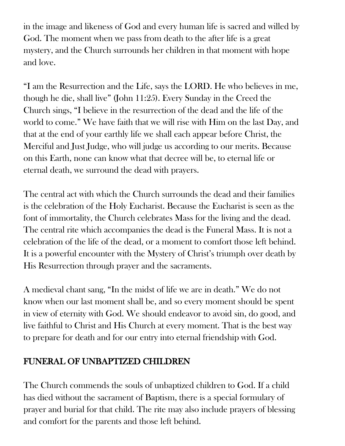in the image and likeness of God and every human life is sacred and willed by God. The moment when we pass from death to the after life is a great mystery, and the Church surrounds her children in that moment with hope and love.

"I am the Resurrection and the Life, says the LORD. He who believes in me, though he die, shall live" (John 11:25). Every Sunday in the Creed the Church sings, "I believe in the resurrection of the dead and the life of the world to come." We have faith that we will rise with Him on the last Day, and that at the end of your earthly life we shall each appear before Christ, the Merciful and Just Judge, who will judge us according to our merits. Because on this Earth, none can know what that decree will be, to eternal life or eternal death, we surround the dead with prayers.

The central act with which the Church surrounds the dead and their families is the celebration of the Holy Eucharist. Because the Eucharist is seen as the font of immortality, the Church celebrates Mass for the living and the dead. The central rite which accompanies the dead is the Funeral Mass. It is not a celebration of the life of the dead, or a moment to comfort those left behind. It is a powerful encounter with the Mystery of Christ's triumph over death by His Resurrection through prayer and the sacraments.

A medieval chant sang, "In the midst of life we are in death." We do not know when our last moment shall be, and so every moment should be spent in view of eternity with God. We should endeavor to avoid sin, do good, and live faithful to Christ and His Church at every moment. That is the best way to prepare for death and for our entry into eternal friendship with God.

# FUNERAL OF UNBAPTIZED CHILDREN

The Church commends the souls of unbaptized children to God. If a child has died without the sacrament of Baptism, there is a special formulary of prayer and burial for that child. The rite may also include prayers of blessing and comfort for the parents and those left behind.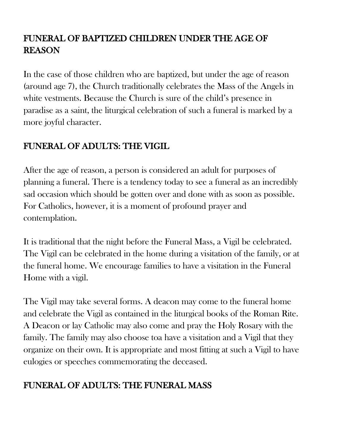# FUNERAL OF BAPTIZED CHILDREN UNDER THE AGE OF REASON

In the case of those children who are baptized, but under the age of reason (around age 7), the Church traditionally celebrates the Mass of the Angels in white vestments. Because the Church is sure of the child's presence in paradise as a saint, the liturgical celebration of such a funeral is marked by a more joyful character.

# FUNERAL OF ADULTS: THE VIGIL

After the age of reason, a person is considered an adult for purposes of planning a funeral. There is a tendency today to see a funeral as an incredibly sad occasion which should be gotten over and done with as soon as possible. For Catholics, however, it is a moment of profound prayer and contemplation.

It is traditional that the night before the Funeral Mass, a Vigil be celebrated. The Vigil can be celebrated in the home during a visitation of the family, or at the funeral home. We encourage families to have a visitation in the Funeral Home with a vigil.

The Vigil may take several forms. A deacon may come to the funeral home and celebrate the Vigil as contained in the liturgical books of the Roman Rite. A Deacon or lay Catholic may also come and pray the Holy Rosary with the family. The family may also choose toa have a visitation and a Vigil that they organize on their own. It is appropriate and most fitting at such a Vigil to have eulogies or speeches commemorating the deceased.

# FUNERAL OF ADULTS: THE FUNERAL MASS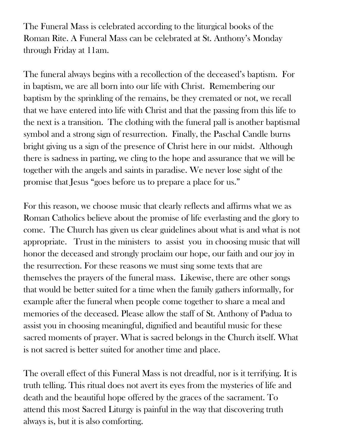The Funeral Mass is celebrated according to the liturgical books of the Roman Rite. A Funeral Mass can be celebrated at St. Anthony's Monday through Friday at 11am.

The funeral always begins with a recollection of the deceased's baptism. For in baptism, we are all born into our life with Christ. Remembering our baptism by the sprinkling of the remains, be they cremated or not, we recall that we have entered into life with Christ and that the passing from this life to the next is a transition. The clothing with the funeral pall is another baptismal symbol and a strong sign of resurrection. Finally, the Paschal Candle burns bright giving us a sign of the presence of Christ here in our midst. Although there is sadness in parting, we cling to the hope and assurance that we will be together with the angels and saints in paradise. We never lose sight of the promise that Jesus "goes before us to prepare a place for us."

For this reason, we choose music that clearly reflects and affirms what we as Roman Catholics believe about the promise of life everlasting and the glory to come. The Church has given us clear guidelines about what is and what is not appropriate. Trust in the ministers to assist you in choosing music that will honor the deceased and strongly proclaim our hope, our faith and our joy in the resurrection. For these reasons we must sing some texts that are themselves the prayers of the funeral mass. Likewise, there are other songs that would be better suited for a time when the family gathers informally, for example after the funeral when people come together to share a meal and memories of the deceased. Please allow the staff of St. Anthony of Padua to assist you in choosing meaningful, dignified and beautiful music for these sacred moments of prayer. What is sacred belongs in the Church itself. What is not sacred is better suited for another time and place.

The overall effect of this Funeral Mass is not dreadful, nor is it terrifying. It is truth telling. This ritual does not avert its eyes from the mysteries of life and death and the beautiful hope offered by the graces of the sacrament. To attend this most Sacred Liturgy is painful in the way that discovering truth always is, but it is also comforting.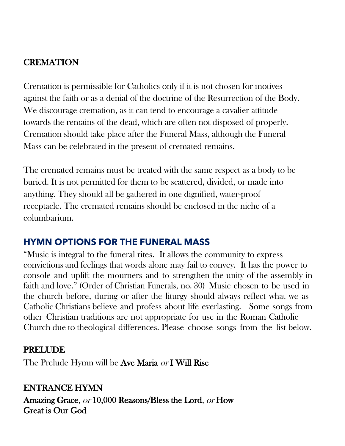## **CREMATION**

Cremation is permissible for Catholics only if it is not chosen for motives against the faith or as a denial of the doctrine of the Resurrection of the Body. We discourage cremation, as it can tend to encourage a cavalier attitude towards the remains of the dead, which are often not disposed of properly. Cremation should take place after the Funeral Mass, although the Funeral Mass can be celebrated in the present of cremated remains.

The cremated remains must be treated with the same respect as a body to be buried. It is not permitted for them to be scattered, divided, or made into anything. They should all be gathered in one dignified, water-proof receptacle. The cremated remains should be enclosed in the niche of a columbarium.

## **HYMN OPTIONS FOR THE FUNERAL MASS**

"Music is integral to the funeral rites. It allows the community to express convictions and feelings that words alone may fail to convey. It has the power to console and uplift the mourners and to strengthen the unity of the assembly in faith and love." (Order of Christian Funerals, no. 30) Music chosen to be used in the church before, during or after the liturgy should always reflect what we as Catholic Christians believe and profess about life everlasting. Some songs from other Christian traditions are not appropriate for use in the Roman Catholic Church due to theological differences. Please choose songs from the list below.

# PRELUDE

The Prelude Hymn will be Ave Maria or I Will Rise

# ENTRANCE HYMN

Amazing Grace, or 10,000 Reasons/Bless the Lord, or How Great is Our God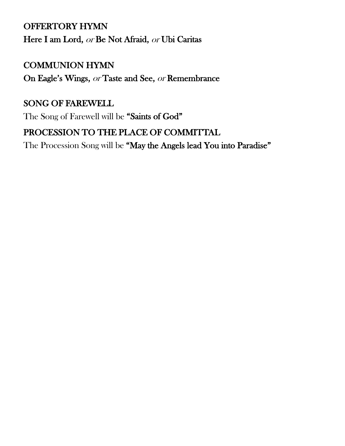#### OFFERTORY HYMN

Here I am Lord, or Be Not Afraid, or Ubi Caritas

## COMMUNION HYMN

On Eagle's Wings, or Taste and See, or Remembrance

## SONG OF FAREWELL

The Song of Farewell will be "Saints of God"

# PROCESSION TO THE PLACE OF COMMITTAL

The Procession Song will be "May the Angels lead You into Paradise"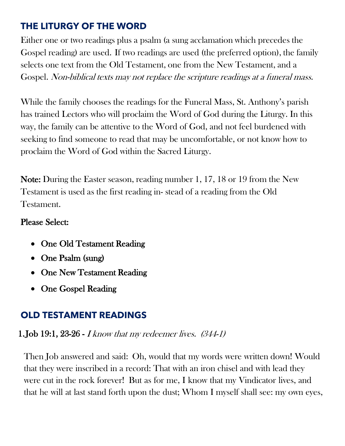# **THE LITURGY OF THE WORD**

Either one or two readings plus a psalm (a sung acclamation which precedes the Gospel reading) are used. If two readings are used (the preferred option), the family selects one text from the Old Testament, one from the New Testament, and a Gospel. Non-biblical texts may not replace the scripture readings at a funeral mass.

While the family chooses the readings for the Funeral Mass, St. Anthony's parish has trained Lectors who will proclaim the Word of God during the Liturgy. In this way, the family can be attentive to the Word of God, and not feel burdened with seeking to find someone to read that may be uncomfortable, or not know how to proclaim the Word of God within the Sacred Liturgy.

Note: During the Easter season, reading number 1, 17, 18 or 19 from the New Testament is used as the first reading in- stead of a reading from the Old Testament.

## Please Select:

- One Old Testament Reading
- One Psalm (sung)
- One New Testament Reading
- One Gospel Reading

# **OLD TESTAMENT READINGS**

# 1.Job 19:1, 23-26 - <sup>I</sup> know that my redeemer lives. (344-1)

Then Job answered and said: Oh, would that my words were written down! Would that they were inscribed in a record: That with an iron chisel and with lead they were cut in the rock forever! But as for me, I know that my Vindicator lives, and that he will at last stand forth upon the dust; Whom I myself shall see: my own eyes,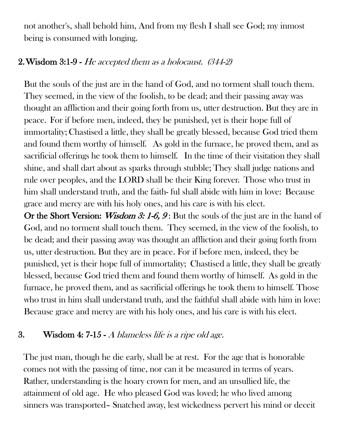not another's, shall behold him, And from my flesh I shall see God; my inmost being is consumed with longing.

#### 2.Wisdom 3:1-9 - He accepted them as a holocaust. (344-2)

But the souls of the just are in the hand of God, and no torment shall touch them. They seemed, in the view of the foolish, to be dead; and their passing away was thought an affliction and their going forth from us, utter destruction. But they are in peace. For if before men, indeed, they be punished, yet is their hope full of immortality; Chastised a little, they shall be greatly blessed, because God tried them and found them worthy of himself. As gold in the furnace, he proved them, and as sacrificial offerings he took them to himself. In the time of their visitation they shall shine, and shall dart about as sparks through stubble; They shall judge nations and rule over peoples, and the LORD shall be their King forever. Those who trust in him shall understand truth, and the faith- ful shall abide with him in love: Because grace and mercy are with his holy ones, and his care is with his elect.

Or the Short Version: *Wisdom 3: 1-6, 9*: But the souls of the just are in the hand of God, and no torment shall touch them. They seemed, in the view of the foolish, to be dead; and their passing away was thought an affliction and their going forth from us, utter destruction. But they are in peace. For if before men, indeed, they be punished, yet is their hope full of immortality; Chastised a little, they shall be greatly blessed, because God tried them and found them worthy of himself. As gold in the furnace, he proved them, and as sacrificial offerings he took them to himself. Those who trust in him shall understand truth, and the faithful shall abide with him in love: Because grace and mercy are with his holy ones, and his care is with his elect.

#### 3. Wisdom 4: 7-15 - A blameless life is a ripe old age.

The just man, though he die early, shall be at rest. For the age that is honorable comes not with the passing of time, nor can it be measured in terms of years. Rather, understanding is the hoary crown for men, and an unsullied life, the attainment of old age. He who pleased God was loved; he who lived among sinners was transported– Snatched away, lest wickedness pervert his mind or deceit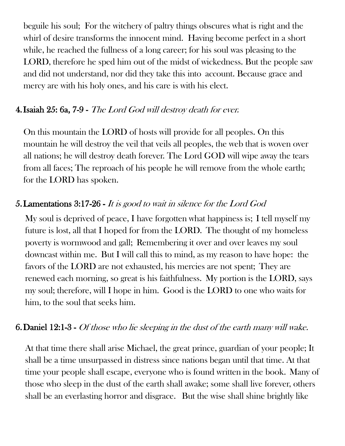beguile his soul; For the witchery of paltry things obscures what is right and the whirl of desire transforms the innocent mind. Having become perfect in a short while, he reached the fullness of a long career; for his soul was pleasing to the LORD, therefore he sped him out of the midst of wickedness. But the people saw and did not understand, nor did they take this into account. Because grace and mercy are with his holy ones, and his care is with his elect.

## 4.Isaiah 25: 6a, 7-9 - The Lord God will destroy death for ever.

On this mountain the LORD of hosts will provide for all peoples. On this mountain he will destroy the veil that veils all peoples, the web that is woven over all nations; he will destroy death forever. The Lord GOD will wipe away the tears from all faces; The reproach of his people he will remove from the whole earth; for the LORD has spoken.

# 5.Lamentations 3:17-26 - It is good to wait in silence for the Lord God

My soul is deprived of peace, I have forgotten what happiness is; I tell myself my future is lost, all that I hoped for from the LORD. The thought of my homeless poverty is wormwood and gall; Remembering it over and over leaves my soul downcast within me. But I will call this to mind, as my reason to have hope: the favors of the LORD are not exhausted, his mercies are not spent; They are renewed each morning, so great is his faithfulness. My portion is the LORD, says my soul; therefore, will I hope in him. Good is the LORD to one who waits for him, to the soul that seeks him.

## 6.Daniel 12:1-3 - Of those who lie sleeping in the dust of the earth many will wake.

At that time there shall arise Michael, the great prince, guardian of your people; It shall be a time unsurpassed in distress since nations began until that time. At that time your people shall escape, everyone who is found written in the book. Many of those who sleep in the dust of the earth shall awake; some shall live forever, others shall be an everlasting horror and disgrace. But the wise shall shine brightly like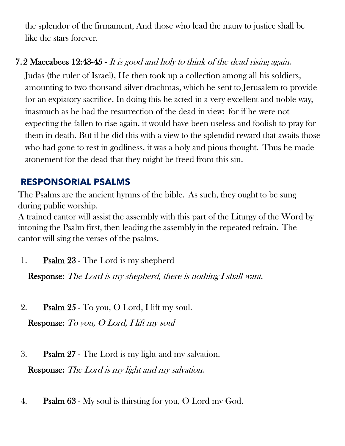the splendor of the firmament, And those who lead the many to justice shall be like the stars forever.

# 7.2 Maccabees 12:43-45 - It is good and holy to think of the dead rising again.

Judas (the ruler of Israel), He then took up a collection among all his soldiers, amounting to two thousand silver drachmas, which he sent to Jerusalem to provide for an expiatory sacrifice. In doing this he acted in a very excellent and noble way, inasmuch as he had the resurrection of the dead in view; for if he were not expecting the fallen to rise again, it would have been useless and foolish to pray for them in death. But if he did this with a view to the splendid reward that awaits those who had gone to rest in godliness, it was a holy and pious thought. Thus he made atonement for the dead that they might be freed from this sin.

# **RESPONSORIAL PSALMS**

The Psalms are the ancient hymns of the bible. As such, they ought to be sung during public worship.

A trained cantor will assist the assembly with this part of the Liturgy of the Word by intoning the Psalm first, then leading the assembly in the repeated refrain. The cantor will sing the verses of the psalms.

1. Psalm 23 - The Lord is my shepherd

Response: The Lord is my shepherd, there is nothing I shall want.

2. Psalm 25 - To you, O Lord, I lift my soul.

Response: To you, O Lord, I lift my soul

3. Psalm 27 - The Lord is my light and my salvation. Response: The Lord is my light and my salvation.

4. Psalm 63 - My soul is thirsting for you, O Lord my God.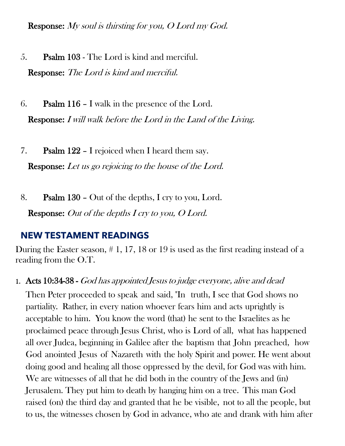Response: My soul is thirsting for you, O Lord my God.

- 5. Psalm 103 The Lord is kind and merciful. Response: The Lord is kind and merciful.
- 6. Psalm 116 I walk in the presence of the Lord. Response: I will walk before the Lord in the Land of the Living.
- 7. **Psalm 122 I** rejoiced when I heard them say. Response: Let us go rejoicing to the house of the Lord.
- 8. Psalm 130 Out of the depths, I cry to you, Lord. Response: Out of the depths I cry to you, O Lord.

## **NEW TESTAMENT READINGS**

During the Easter season, # 1, 17, 18 or 19 is used as the first reading instead of a reading from the O.T.

#### 1. Acts 10:34-38 - God has appointed Jesus to judge everyone, alive and dead

Then Peter proceeded to speak and said, "In truth, I see that God shows no partiality. Rather, in every nation whoever fears him and acts uprightly is acceptable to him. You know the word (that) he sent to the Israelites as he proclaimed peace through Jesus Christ, who is Lord of all, what has happened all over Judea, beginning in Galilee after the baptism that John preached, how God anointed Jesus of Nazareth with the holy Spirit and power. He went about doing good and healing all those oppressed by the devil, for God was with him. We are witnesses of all that he did both in the country of the Jews and (in) Jerusalem. They put him to death by hanging him on a tree. This man God raised (on) the third day and granted that he be visible, not to all the people, but to us, the witnesses chosen by God in advance, who ate and drank with him after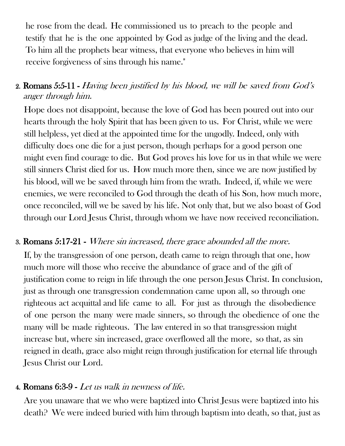he rose from the dead. He commissioned us to preach to the people and testify that he is the one appointed by God as judge of the living and the dead. To him all the prophets bear witness, that everyone who believes in him will receive forgiveness of sins through his name."

#### 2. Romans 5:5-11 - Having been justified by his blood, we will be saved from God's anger through him.

Hope does not disappoint, because the love of God has been poured out into our hearts through the holy Spirit that has been given to us. For Christ, while we were still helpless, yet died at the appointed time for the ungodly. Indeed, only with difficulty does one die for a just person, though perhaps for a good person one might even find courage to die. But God proves his love for us in that while we were still sinners Christ died for us. How much more then, since we are now justified by his blood, will we be saved through him from the wrath. Indeed, if, while we were enemies, we were reconciled to God through the death of his Son, how much more, once reconciled, will we be saved by his life. Not only that, but we also boast of God through our Lord Jesus Christ, through whom we have now received reconciliation.

#### 3. Romans 5:17-21 - Where sin increased, there grace abounded all the more.

If, by the transgression of one person, death came to reign through that one, how much more will those who receive the abundance of grace and of the gift of justification come to reign in life through the one person Jesus Christ. In conclusion, just as through one transgression condemnation came upon all, so through one righteous act acquittal and life came to all. For just as through the disobedience of one person the many were made sinners, so through the obedience of one the many will be made righteous. The law entered in so that transgression might increase but, where sin increased, grace overflowed all the more, so that, as sin reigned in death, grace also might reign through justification for eternal life through Jesus Christ our Lord.

## 4. Romans 6:3-9 - Let us walk in newness of life.

Are you unaware that we who were baptized into Christ Jesus were baptized into his death? We were indeed buried with him through baptism into death, so that, just as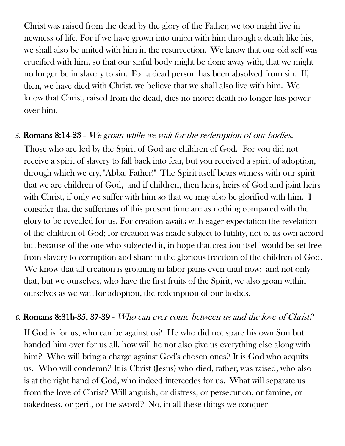Christ was raised from the dead by the glory of the Father, we too might live in newness of life. For if we have grown into union with him through a death like his, we shall also be united with him in the resurrection. We know that our old self was crucified with him, so that our sinful body might be done away with, that we might no longer be in slavery to sin. For a dead person has been absolved from sin. If, then, we have died with Christ, we believe that we shall also live with him. We know that Christ, raised from the dead, dies no more; death no longer has power over him.

#### 5. Romans 8:14-23 - We groan while we wait for the redemption of our bodies.

Those who are led by the Spirit of God are children of God. For you did not receive a spirit of slavery to fall back into fear, but you received a spirit of adoption, through which we cry, "Abba, Father!" The Spirit itself bears witness with our spirit that we are children of God, and if children, then heirs, heirs of God and joint heirs with Christ, if only we suffer with him so that we may also be glorified with him. I consider that the sufferings of this present time are as nothing compared with the glory to be revealed for us. For creation awaits with eager expectation the revelation of the children of God; for creation was made subject to futility, not of its own accord but because of the one who subjected it, in hope that creation itself would be set free from slavery to corruption and share in the glorious freedom of the children of God. We know that all creation is groaning in labor pains even until now; and not only that, but we ourselves, who have the first fruits of the Spirit, we also groan within ourselves as we wait for adoption, the redemption of our bodies.

# 6. Romans 8:31b-35, 37-39 - Who can ever come between us and the love of Christ?

If God is for us, who can be against us? He who did not spare his own Son but handed him over for us all, how will he not also give us everything else along with him? Who will bring a charge against God's chosen ones? It is God who acquits us. Who will condemn? It is Christ (Jesus) who died, rather, was raised, who also is at the right hand of God, who indeed intercedes for us. What will separate us from the love of Christ? Will anguish, or distress, or persecution, or famine, or nakedness, or peril, or the sword? No, in all these things we conquer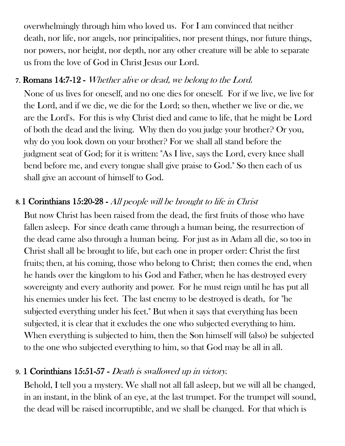overwhelmingly through him who loved us. For I am convinced that neither death, nor life, nor angels, nor principalities, nor present things, nor future things, nor powers, nor height, nor depth, nor any other creature will be able to separate us from the love of God in Christ Jesus our Lord.

#### 7. Romans 14:7-12 - Whether alive or dead, we belong to the Lord.

None of us lives for oneself, and no one dies for oneself. For if we live, we live for the Lord, and if we die, we die for the Lord; so then, whether we live or die, we are the Lord's. For this is why Christ died and came to life, that he might be Lord of both the dead and the living. Why then do you judge your brother? Or you, why do you look down on your brother? For we shall all stand before the judgment seat of God; for it is written: "As I live, says the Lord, every knee shall bend before me, and every tongue shall give praise to God." So then each of us shall give an account of himself to God.

## 8. 1 Corinthians 15:20-28 - All people will be brought to life in Christ

But now Christ has been raised from the dead, the first fruits of those who have fallen asleep. For since death came through a human being, the resurrection of the dead came also through a human being. For just as in Adam all die, so too in Christ shall all be brought to life, but each one in proper order: Christ the first fruits; then, at his coming, those who belong to Christ; then comes the end, when he hands over the kingdom to his God and Father, when he has destroyed every sovereignty and every authority and power. For he must reign until he has put all his enemies under his feet. The last enemy to be destroyed is death, for "he subjected everything under his feet." But when it says that everything has been subjected, it is clear that it excludes the one who subjected everything to him. When everything is subjected to him, then the Son himself will (also) be subjected to the one who subjected everything to him, so that God may be all in all.

# 9. 1 Corinthians 15:51-57 - Death is swallowed up in victory.

Behold, I tell you a mystery. We shall not all fall asleep, but we will all be changed, in an instant, in the blink of an eye, at the last trumpet. For the trumpet will sound, the dead will be raised incorruptible, and we shall be changed. For that which is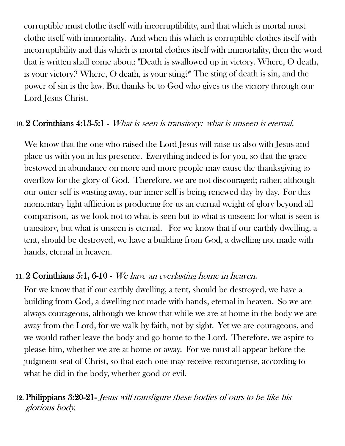corruptible must clothe itself with incorruptibility, and that which is mortal must clothe itself with immortality. And when this which is corruptible clothes itself with incorruptibility and this which is mortal clothes itself with immortality, then the word that is written shall come about: "Death is swallowed up in victory. Where, O death, is your victory? Where, O death, is your sting?" The sting of death is sin, and the power of sin is the law. But thanks be to God who gives us the victory through our Lord Jesus Christ.

#### 10. 2 Corinthians 4:13-5:1 - What is seen is transitory: what is unseen is eternal.

We know that the one who raised the Lord Jesus will raise us also with Jesus and place us with you in his presence. Everything indeed is for you, so that the grace bestowed in abundance on more and more people may cause the thanksgiving to overflow for the glory of God. Therefore, we are not discouraged; rather, although our outer self is wasting away, our inner self is being renewed day by day. For this momentary light affliction is producing for us an eternal weight of glory beyond all comparison, as we look not to what is seen but to what is unseen; for what is seen is transitory, but what is unseen is eternal. For we know that if our earthly dwelling, a tent, should be destroyed, we have a building from God, a dwelling not made with hands, eternal in heaven.

## 11. 2 Corinthians 5:1, 6-10 - We have an everlasting home in heaven.

For we know that if our earthly dwelling, a tent, should be destroyed, we have a building from God, a dwelling not made with hands, eternal in heaven. So we are always courageous, although we know that while we are at home in the body we are away from the Lord, for we walk by faith, not by sight. Yet we are courageous, and we would rather leave the body and go home to the Lord. Therefore, we aspire to please him, whether we are at home or away. For we must all appear before the judgment seat of Christ, so that each one may receive recompense, according to what he did in the body, whether good or evil.

## 12. Philippians 3:20-21- Jesus will transfigure these bodies of ours to be like his glorious body.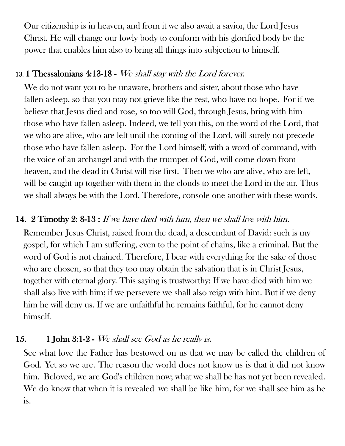Our citizenship is in heaven, and from it we also await a savior, the Lord Jesus Christ. He will change our lowly body to conform with his glorified body by the power that enables him also to bring all things into subjection to himself.

#### 13. 1 Thessalonians 4:13-18 - We shall stay with the Lord forever.

We do not want you to be unaware, brothers and sister, about those who have fallen asleep, so that you may not grieve like the rest, who have no hope. For if we believe that Jesus died and rose, so too will God, through Jesus, bring with him those who have fallen asleep. Indeed, we tell you this, on the word of the Lord, that we who are alive, who are left until the coming of the Lord, will surely not precede those who have fallen asleep. For the Lord himself, with a word of command, with the voice of an archangel and with the trumpet of God, will come down from heaven, and the dead in Christ will rise first. Then we who are alive, who are left, will be caught up together with them in the clouds to meet the Lord in the air. Thus we shall always be with the Lord. Therefore, console one another with these words.

## 14. 2 Timothy 2: 8-13 : If we have died with him, then we shall live with him.

Remember Jesus Christ, raised from the dead, a descendant of David: such is my gospel, for which I am suffering, even to the point of chains, like a criminal. But the word of God is not chained. Therefore, I bear with everything for the sake of those who are chosen, so that they too may obtain the salvation that is in Christ Jesus, together with eternal glory. This saying is trustworthy: If we have died with him we shall also live with him; if we persevere we shall also reign with him. But if we deny him he will deny us. If we are unfaithful he remains faithful, for he cannot deny himself.

# 15. 1 John 3:1-2 - We shall see God as he really is.

See what love the Father has bestowed on us that we may be called the children of God. Yet so we are. The reason the world does not know us is that it did not know him. Beloved, we are God's children now; what we shall be has not yet been revealed. We do know that when it is revealed we shall be like him, for we shall see him as he is.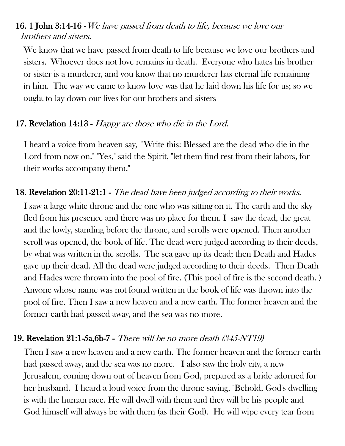## 16. 1 John 3:14-16 -We have passed from death to life, because we love our brothers and sisters.

We know that we have passed from death to life because we love our brothers and sisters. Whoever does not love remains in death. Everyone who hates his brother or sister is a murderer, and you know that no murderer has eternal life remaining in him. The way we came to know love was that he laid down his life for us; so we ought to lay down our lives for our brothers and sisters

#### 17. Revelation 14:13 - Happy are those who die in the Lord.

I heard a voice from heaven say, "Write this: Blessed are the dead who die in the Lord from now on." "Yes," said the Spirit, "let them find rest from their labors, for their works accompany them."

#### 18. Revelation 20:11-21:1 - The dead have been judged according to their works.

I saw a large white throne and the one who was sitting on it. The earth and the sky fled from his presence and there was no place for them. I saw the dead, the great and the lowly, standing before the throne, and scrolls were opened. Then another scroll was opened, the book of life. The dead were judged according to their deeds, by what was written in the scrolls. The sea gave up its dead; then Death and Hades gave up their dead. All the dead were judged according to their deeds. Then Death and Hades were thrown into the pool of fire. (This pool of fire is the second death. ) Anyone whose name was not found written in the book of life was thrown into the pool of fire. Then I saw a new heaven and a new earth. The former heaven and the former earth had passed away, and the sea was no more.

# 19. Revelation 21:1-5a,6b-7 - There will be no more death (345-NT19)

Then I saw a new heaven and a new earth. The former heaven and the former earth had passed away, and the sea was no more. I also saw the holy city, a new Jerusalem, coming down out of heaven from God, prepared as a bride adorned for her husband. I heard a loud voice from the throne saying, "Behold, God's dwelling is with the human race. He will dwell with them and they will be his people and God himself will always be with them (as their God). He will wipe every tear from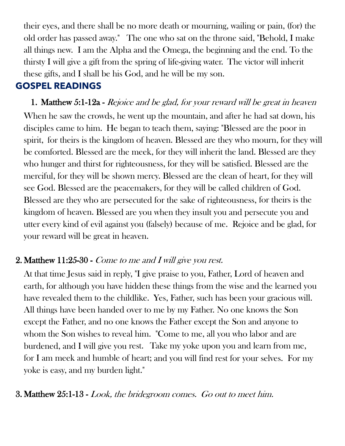their eyes, and there shall be no more death or mourning, wailing or pain, (for) the old order has passed away." The one who sat on the throne said, "Behold, I make all things new. I am the Alpha and the Omega, the beginning and the end. To the thirsty I will give a gift from the spring of life-giving water. The victor will inherit these gifts, and I shall be his God, and he will be my son.

# **GOSPEL READINGS**

1. Matthew 5:1-12a - Rejoice and be glad, for your reward will be great in heaven When he saw the crowds, he went up the mountain, and after he had sat down, his disciples came to him. He began to teach them, saying: "Blessed are the poor in spirit, for theirs is the kingdom of heaven. Blessed are they who mourn, for they will be comforted. Blessed are the meek, for they will inherit the land. Blessed are they who hunger and thirst for righteousness, for they will be satisfied. Blessed are the merciful, for they will be shown mercy. Blessed are the clean of heart, for they will see God. Blessed are the peacemakers, for they will be called children of God. Blessed are they who are persecuted for the sake of righteousness, for theirs is the kingdom of heaven. Blessed are you when they insult you and persecute you and utter every kind of evil against you (falsely) because of me. Rejoice and be glad, for your reward will be great in heaven.

# 2. Matthew 11:25-30 - Come to me and I will give you rest.

At that time Jesus said in reply, "I give praise to you, Father, Lord of heaven and earth, for although you have hidden these things from the wise and the learned you have revealed them to the childlike. Yes, Father, such has been your gracious will. All things have been handed over to me by my Father. No one knows the Son except the Father, and no one knows the Father except the Son and anyone to whom the Son wishes to reveal him. "Come to me, all you who labor and are burdened, and I will give you rest. Take my yoke upon you and learn from me, for I am meek and humble of heart; and you will find rest for your selves. For my yoke is easy, and my burden light."

## 3. Matthew 25:1-13 - Look, the bridegroom comes. Go out to meet him.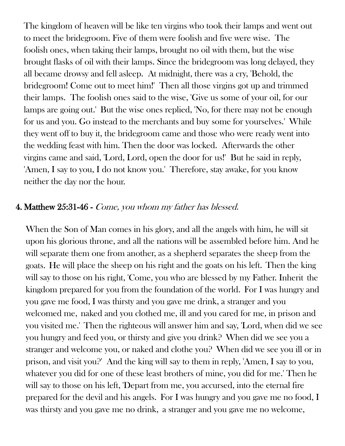The kingdom of heaven will be like ten virgins who took their lamps and went out to meet the bridegroom. Five of them were foolish and five were wise. The foolish ones, when taking their lamps, brought no oil with them, but the wise brought flasks of oil with their lamps. Since the bridegroom was long delayed, they all became drowsy and fell asleep. At midnight, there was a cry, 'Behold, the bridegroom! Come out to meet him!' Then all those virgins got up and trimmed their lamps. The foolish ones said to the wise, 'Give us some of your oil, for our lamps are going out.' But the wise ones replied, 'No, for there may not be enough for us and you. Go instead to the merchants and buy some for yourselves.' While they went off to buy it, the bridegroom came and those who were ready went into the wedding feast with him. Then the door was locked. Afterwards the other virgins came and said, 'Lord, Lord, open the door for us!' But he said in reply, 'Amen, I say to you, I do not know you.' Therefore, stay awake, for you know neither the day nor the hour.

#### 4. Matthew 25:31-46 - Come, you whom my father has blessed.

When the Son of Man comes in his glory, and all the angels with him, he will sit upon his glorious throne, and all the nations will be assembled before him. And he will separate them one from another, as a shepherd separates the sheep from the goats. He will place the sheep on his right and the goats on his left. Then the king will say to those on his right, 'Come, you who are blessed by my Father. Inherit the kingdom prepared for you from the foundation of the world. For I was hungry and you gave me food, I was thirsty and you gave me drink, a stranger and you welcomed me, naked and you clothed me, ill and you cared for me, in prison and you visited me.' Then the righteous will answer him and say, 'Lord, when did we see you hungry and feed you, or thirsty and give you drink? When did we see you a stranger and welcome you, or naked and clothe you? When did we see you ill or in prison, and visit you?' And the king will say to them in reply, 'Amen, I say to you, whatever you did for one of these least brothers of mine, you did for me.' Then he will say to those on his left, 'Depart from me, you accursed, into the eternal fire prepared for the devil and his angels. For I was hungry and you gave me no food, I was thirsty and you gave me no drink, a stranger and you gave me no welcome,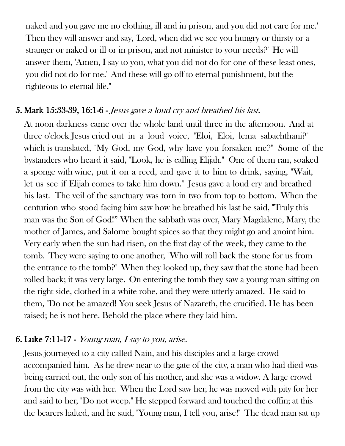naked and you gave me no clothing, ill and in prison, and you did not care for me.' Then they will answer and say, 'Lord, when did we see you hungry or thirsty or a stranger or naked or ill or in prison, and not minister to your needs?' He will answer them, 'Amen, I say to you, what you did not do for one of these least ones, you did not do for me.' And these will go off to eternal punishment, but the righteous to eternal life."

#### 5. Mark 15:33-39, 16:1-6 - Jesus gave a loud cry and breathed his last.

At noon darkness came over the whole land until three in the afternoon. And at three o'clock Jesus cried out in a loud voice, "Eloi, Eloi, lema sabachthani?" which is translated, "My God, my God, why have you forsaken me?" Some of the bystanders who heard it said, "Look, he is calling Elijah." One of them ran, soaked a sponge with wine, put it on a reed, and gave it to him to drink, saying, "Wait, let us see if Elijah comes to take him down." Jesus gave a loud cry and breathed his last. The veil of the sanctuary was torn in two from top to bottom. When the centurion who stood facing him saw how he breathed his last he said, "Truly this man was the Son of God!" When the sabbath was over, Mary Magdalene, Mary, the mother of James, and Salome bought spices so that they might go and anoint him. Very early when the sun had risen, on the first day of the week, they came to the tomb. They were saying to one another, "Who will roll back the stone for us from the entrance to the tomb?" When they looked up, they saw that the stone had been rolled back; it was very large. On entering the tomb they saw a young man sitting on the right side, clothed in a white robe, and they were utterly amazed. He said to them, "Do not be amazed! You seek Jesus of Nazareth, the crucified. He has been raised; he is not here. Behold the place where they laid him.

#### 6. Luke 7:11-17 - Young man, <sup>I</sup> say to you, arise.

Jesus journeyed to a city called Nain, and his disciples and a large crowd accompanied him. As he drew near to the gate of the city, a man who had died was being carried out, the only son of his mother, and she was a widow. A large crowd from the city was with her. When the Lord saw her, he was moved with pity for her and said to her, "Do not weep." He stepped forward and touched the coffin; at this the bearers halted, and he said, "Young man, I tell you, arise!" The dead man sat up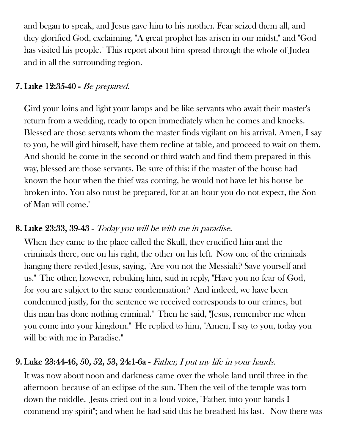and began to speak, and Jesus gave him to his mother. Fear seized them all, and they glorified God, exclaiming, "A great prophet has arisen in our midst," and "God has visited his people." This report about him spread through the whole of Judea and in all the surrounding region.

# 7. Luke 12:35-40 - Be prepared.

Gird your loins and light your lamps and be like servants who await their master's return from a wedding, ready to open immediately when he comes and knocks. Blessed are those servants whom the master finds vigilant on his arrival. Amen, I say to you, he will gird himself, have them recline at table, and proceed to wait on them. And should he come in the second or third watch and find them prepared in this way, blessed are those servants. Be sure of this: if the master of the house had known the hour when the thief was coming, he would not have let his house be broken into. You also must be prepared, for at an hour you do not expect, the Son of Man will come."

# 8. Luke 23:33, 39-43 - Today you will be with me in paradise.

When they came to the place called the Skull, they crucified him and the criminals there, one on his right, the other on his left. Now one of the criminals hanging there reviled Jesus, saying, "Are you not the Messiah? Save yourself and us." The other, however, rebuking him, said in reply, "Have you no fear of God, for you are subject to the same condemnation? And indeed, we have been condemned justly, for the sentence we received corresponds to our crimes, but this man has done nothing criminal." Then he said, "Jesus, remember me when you come into your kingdom." He replied to him, "Amen, I say to you, today you will be with me in Paradise."

# 9. Luke 23:44-46, 50, 52, 53, 24:1-6a - Father, <sup>I</sup> put my life in your hands.

It was now about noon and darkness came over the whole land until three in the afternoon because of an eclipse of the sun. Then the veil of the temple was torn down the middle. Jesus cried out in a loud voice, "Father, into your hands I commend my spirit"; and when he had said this he breathed his last. Now there was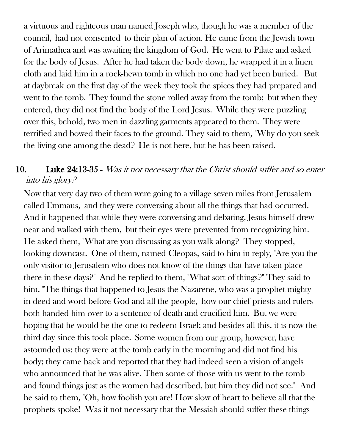a virtuous and righteous man named Joseph who, though he was a member of the council, had not consented to their plan of action. He came from the Jewish town of Arimathea and was awaiting the kingdom of God. He went to Pilate and asked for the body of Jesus. After he had taken the body down, he wrapped it in a linen cloth and laid him in a rock-hewn tomb in which no one had yet been buried. But at daybreak on the first day of the week they took the spices they had prepared and went to the tomb. They found the stone rolled away from the tomb; but when they entered, they did not find the body of the Lord Jesus. While they were puzzling over this, behold, two men in dazzling garments appeared to them. They were terrified and bowed their faces to the ground. They said to them, "Why do you seek the living one among the dead? He is not here, but he has been raised.

#### 10. Luke 24:13-35 - Was it not necessary that the Christ should suffer and so enter into his glory?

Now that very day two of them were going to a village seven miles from Jerusalem called Emmaus, and they were conversing about all the things that had occurred. And it happened that while they were conversing and debating, Jesus himself drew near and walked with them, but their eyes were prevented from recognizing him. He asked them, "What are you discussing as you walk along? They stopped, looking downcast. One of them, named Cleopas, said to him in reply, "Are you the only visitor to Jerusalem who does not know of the things that have taken place there in these days?" And he replied to them, "What sort of things?" They said to him, "The things that happened to Jesus the Nazarene, who was a prophet mighty in deed and word before God and all the people, how our chief priests and rulers both handed him over to a sentence of death and crucified him. But we were hoping that he would be the one to redeem Israel; and besides all this, it is now the third day since this took place. Some women from our group, however, have astounded us: they were at the tomb early in the morning and did not find his body; they came back and reported that they had indeed seen a vision of angels who announced that he was alive. Then some of those with us went to the tomb and found things just as the women had described, but him they did not see." And he said to them, "Oh, how foolish you are! How slow of heart to believe all that the prophets spoke! Was it not necessary that the Messiah should suffer these things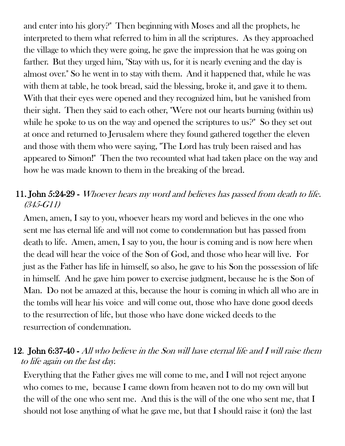and enter into his glory?" Then beginning with Moses and all the prophets, he interpreted to them what referred to him in all the scriptures. As they approached the village to which they were going, he gave the impression that he was going on farther. But they urged him, "Stay with us, for it is nearly evening and the day is almost over." So he went in to stay with them. And it happened that, while he was with them at table, he took bread, said the blessing, broke it, and gave it to them. With that their eyes were opened and they recognized him, but he vanished from their sight. Then they said to each other, "Were not our hearts burning (within us) while he spoke to us on the way and opened the scriptures to us?" So they set out at once and returned to Jerusalem where they found gathered together the eleven and those with them who were saying, "The Lord has truly been raised and has appeared to Simon!" Then the two recounted what had taken place on the way and how he was made known to them in the breaking of the bread.

#### 11. John 5:24-29 - Whoever hears my word and believes has passed from death to life. (345-G11)

Amen, amen, I say to you, whoever hears my word and believes in the one who sent me has eternal life and will not come to condemnation but has passed from death to life. Amen, amen, I say to you, the hour is coming and is now here when the dead will hear the voice of the Son of God, and those who hear will live. For just as the Father has life in himself, so also, he gave to his Son the possession of life in himself. And he gave him power to exercise judgment, because he is the Son of Man. Do not be amazed at this, because the hour is coming in which all who are in the tombs will hear his voice and will come out, those who have done good deeds to the resurrection of life, but those who have done wicked deeds to the resurrection of condemnation.

#### 12. John 6:37-40 - All who believe in the Son will have eternal life and I will raise them to life again on the last day.

Everything that the Father gives me will come to me, and I will not reject anyone who comes to me, because I came down from heaven not to do my own will but the will of the one who sent me. And this is the will of the one who sent me, that I should not lose anything of what he gave me, but that I should raise it (on) the last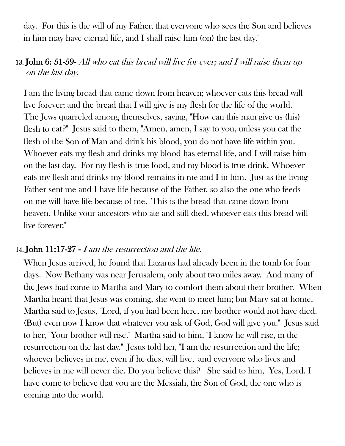day. For this is the will of my Father, that everyone who sees the Son and believes in him may have eternal life, and I shall raise him (on) the last day."

#### 13. John 6: 51-59- All who eat this bread will live for ever; and I will raise them up on the last day.

I am the living bread that came down from heaven; whoever eats this bread will live forever; and the bread that I will give is my flesh for the life of the world." The Jews quarreled among themselves, saying, "How can this man give us (his) flesh to eat?" Jesus said to them, "Amen, amen, I say to you, unless you eat the flesh of the Son of Man and drink his blood, you do not have life within you. Whoever eats my flesh and drinks my blood has eternal life, and I will raise him on the last day. For my flesh is true food, and my blood is true drink. Whoever eats my flesh and drinks my blood remains in me and I in him. Just as the living Father sent me and I have life because of the Father, so also the one who feeds on me will have life because of me. This is the bread that came down from heaven. Unlike your ancestors who ate and still died, whoever eats this bread will live forever."

#### 14. John 11:17-27 - <sup>I</sup> am the resurrection and the life.

When Jesus arrived, he found that Lazarus had already been in the tomb for four days. Now Bethany was near Jerusalem, only about two miles away. And many of the Jews had come to Martha and Mary to comfort them about their brother. When Martha heard that Jesus was coming, she went to meet him; but Mary sat at home. Martha said to Jesus, "Lord, if you had been here, my brother would not have died. (But) even now I know that whatever you ask of God, God will give you." Jesus said to her, "Your brother will rise." Martha said to him, "I know he will rise, in the resurrection on the last day." Jesus told her, "I am the resurrection and the life; whoever believes in me, even if he dies, will live, and everyone who lives and believes in me will never die. Do you believe this?" She said to him, "Yes, Lord. I have come to believe that you are the Messiah, the Son of God, the one who is coming into the world.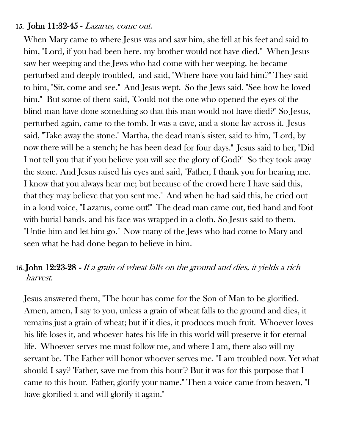#### 15. John 11:32-45 - Lazarus, come out.

When Mary came to where Jesus was and saw him, she fell at his feet and said to him, "Lord, if you had been here, my brother would not have died." When Jesus saw her weeping and the Jews who had come with her weeping, he became perturbed and deeply troubled, and said, "Where have you laid him?" They said to him, "Sir, come and see." And Jesus wept. So the Jews said, "See how he loved him." But some of them said, "Could not the one who opened the eyes of the blind man have done something so that this man would not have died?" So Jesus, perturbed again, came to the tomb. It was a cave, and a stone lay across it. Jesus said, "Take away the stone." Martha, the dead man's sister, said to him, "Lord, by now there will be a stench; he has been dead for four days." Jesus said to her, "Did I not tell you that if you believe you will see the glory of God?" So they took away the stone. And Jesus raised his eyes and said, "Father, I thank you for hearing me. I know that you always hear me; but because of the crowd here I have said this, that they may believe that you sent me." And when he had said this, he cried out in a loud voice, "Lazarus, come out!" The dead man came out, tied hand and foot with burial bands, and his face was wrapped in a cloth. So Jesus said to them, "Untie him and let him go." Now many of the Jews who had come to Mary and seen what he had done began to believe in him.

#### 16. John 12:23-28 - If a grain of wheat falls on the ground and dies, it yields a rich harvest.

Jesus answered them, "The hour has come for the Son of Man to be glorified. Amen, amen, I say to you, unless a grain of wheat falls to the ground and dies, it remains just a grain of wheat; but if it dies, it produces much fruit. Whoever loves his life loses it, and whoever hates his life in this world will preserve it for eternal life. Whoever serves me must follow me, and where I am, there also will my servant be. The Father will honor whoever serves me. "I am troubled now. Yet what should I say? 'Father, save me from this hour'? But it was for this purpose that I came to this hour. Father, glorify your name." Then a voice came from heaven, "I have glorified it and will glorify it again."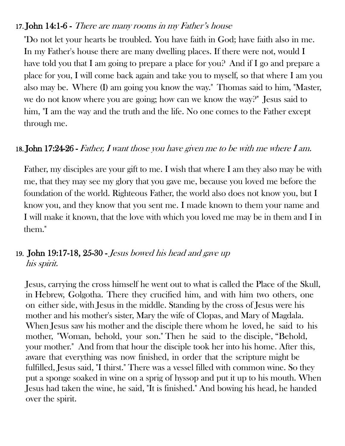#### 17. John 14:1-6 - There are many rooms in my Father's house

"Do not let your hearts be troubled. You have faith in God; have faith also in me. In my Father's house there are many dwelling places. If there were not, would I have told you that I am going to prepare a place for you? And if I go and prepare a place for you, I will come back again and take you to myself, so that where I am you also may be. Where (I) am going you know the way." Thomas said to him, "Master, we do not know where you are going; how can we know the way?" Jesus said to him, "I am the way and the truth and the life. No one comes to the Father except through me.

#### 18. John 17:24-26 - Father, <sup>I</sup> want those you have given me to be with me where <sup>I</sup> am.

Father, my disciples are your gift to me. I wish that where I am they also may be with me, that they may see my glory that you gave me, because you loved me before the foundation of the world. Righteous Father, the world also does not know you, but I know you, and they know that you sent me. I made known to them your name and I will make it known, that the love with which you loved me may be in them and I in them."

## 19. John 19:17-18, 25-30 - Jesus bowed his head and gave up his spirit.

Jesus, carrying the cross himself he went out to what is called the Place of the Skull, in Hebrew, Golgotha. There they crucified him, and with him two others, one on either side, with Jesus in the middle. Standing by the cross of Jesus were his mother and his mother's sister, Mary the wife of Clopas, and Mary of Magdala. When Jesus saw his mother and the disciple there whom he loved, he said to his mother, "Woman, behold, your son." Then he said to the disciple, "Behold, your mother." And from that hour the disciple took her into his home. After this, aware that everything was now finished, in order that the scripture might be fulfilled, Jesus said, "I thirst." There was a vessel filled with common wine. So they put a sponge soaked in wine on a sprig of hyssop and put it up to his mouth. When Jesus had taken the wine, he said, "It is finished." And bowing his head, he handed over the spirit.